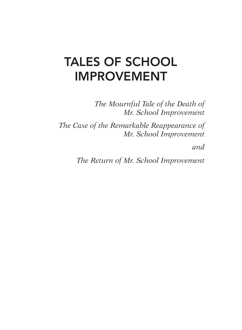# TALES OF SCHOOL IMPROVEMENT

*The Mournful Tale of the Death of Mr. School Improvement* 

*The Case of the Remarkable Reappearance of Mr. School Improvement* 

*and* 

*The Return of Mr. School Improvement*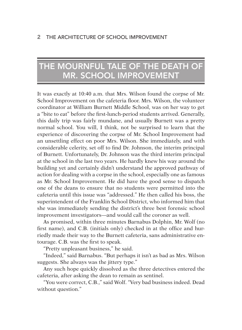## THE MOURNFUL TALE OF THE DEATH OF MR. SCHOOL IMPROVEMENT

It was exactly at 10:40 a.m. that Mrs. Wilson found the corpse of Mr. School Improvement on the cafeteria floor. Mrs. Wilson, the volunteer coordinator at William Burnett Middle School, was on her way to get a "bite to eat" before the first-lunch-period students arrived. Generally, this daily trip was fairly mundane, and usually Burnett was a pretty normal school. You will, I think, not be surprised to learn that the experience of discovering the corpse of Mr. School Improvement had an unsettling effect on poor Mrs. Wilson. She immediately, and with considerable celerity, set off to find Dr. Johnson, the interim principal of Burnett. Unfortunately, Dr. Johnson was the third interim principal at the school in the last two years. He hardly knew his way around the building yet and certainly didn't understand the approved pathway of action for dealing with a corpse in the school, especially one as famous as Mr. School Improvement. He did have the good sense to dispatch one of the deans to ensure that no students were permitted into the cafeteria until this issue was "addressed." He then called his boss, the superintendent of the Franklin School District, who informed him that she was immediately sending the district's three best forensic school improvement investigators—and would call the coroner as well.

As promised, within three minutes Barnabus Dolphin, Mr. Wolf (no first name), and C.B. (initials only) checked in at the office and hurriedly made their way to the Burnett cafeteria, sans administrative entourage. C.B. was the first to speak.

"Pretty unpleasant business," he said.

"Indeed," said Barnabus. "But perhaps it isn't as bad as Mrs. Wilson suggests. She always was the jittery type."

Any such hope quickly dissolved as the three detectives entered the cafeteria, after asking the dean to remain as sentinel.

"You were correct, C.B.," said Wolf. "Very bad business indeed. Dead without question."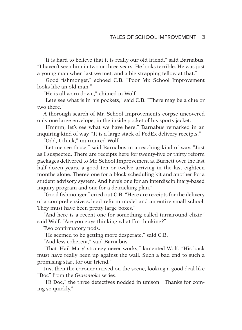"It is hard to believe that it is really our old friend," said Barnabus. "I haven't seen him in two or three years. He looks terrible. He was just a young man when last we met, and a big strapping fellow at that."

"Good fishmonger," echoed C.B. "Poor Mr. School Improvement looks like an old man."

"He is all worn down," chimed in Wolf.

"Let's see what is in his pockets," said C.B. "There may be a clue or two there."

A thorough search of Mr. School Improvement's corpse uncovered only one large envelope, in the inside pocket of his sports jacket.

"Hmmm, let's see what we have here," Barnabus remarked in an inquiring kind of way. "It is a large stack of FedEx delivery receipts."

"Odd, I think," murmured Wolf.

"Let me see those," said Barnabus in a reaching kind of way. "Just as I suspected. There are receipts here for twenty-five or thirty reform packages delivered to Mr. School Improvement at Burnett over the last half dozen years, a good ten or twelve arriving in the last eighteen months alone. There's one for a block scheduling kit and another for a student advisory system. And here's one for an interdisciplinary-based inquiry program and one for a detracking plan."

"Good fishmonger," cried out C.B. "Here are receipts for the delivery of a comprehensive school reform model and an entire small school. They must have been pretty large boxes."

"And here is a recent one for something called turnaround elixir," said Wolf. "Are you guys thinking what I'm thinking?"

Two confirmatory nods.

"He seemed to be getting more desperate," said C.B.

"And less coherent," said Barnabus.

"That 'Hail Mary' strategy never works," lamented Wolf. "His back must have really been up against the wall. Such a bad end to such a promising start for our friend."

Just then the coroner arrived on the scene, looking a good deal like "Doc" from the *Gunsmoke* series.

"Hi Doc," the three detectives nodded in unison. "Thanks for coming so quickly."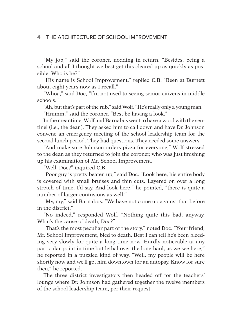"My job," said the coroner, nodding in return. "Besides, being a school and all I thought we best get this cleared up as quickly as possible. Who is he?"

"His name is School Improvement," replied C.B. "Been at Burnett about eight years now as I recall."

"Whoa," said Doc, "I'm not used to seeing senior citizens in middle schools."

"Ah, but that's part of the rub," said Wolf. "He's really only a young man." "Hmmm," said the coroner. "Best be having a look."

In the meantime, Wolf and Barnabus went to have a word with the sentinel (i.e., the dean). They asked him to call down and have Dr. Johnson convene an emergency meeting of the school leadership team for the second lunch period. They had questions. They needed some answers.

"And make sure Johnson orders pizza for everyone," Wolf stressed to the dean as they returned to join the coroner, who was just finishing up his examination of Mr. School Improvement.

"Well, Doc?" inquired C.B.

"Poor guy is pretty beaten up," said Doc. "Look here, his entire body is covered with small bruises and thin cuts. Layered on over a long stretch of time, I'd say. And look here," he pointed, "there is quite a number of larger contusions as well."

"My, my," said Barnabus. "We have not come up against that before in the district."

"No indeed," responded Wolf. "Nothing quite this bad, anyway. What's the cause of death, Doc?"

"That's the most peculiar part of the story," noted Doc. "Your friend, Mr. School Improvement, bled to death. Best I can tell he's been bleeding very slowly for quite a long time now. Hardly noticeable at any particular point in time but lethal over the long haul, as we see here," he reported in a puzzled kind of way. "Well, my people will be here shortly now and we'll get him downtown for an autopsy. Know for sure then," he reported.

The three district investigators then headed off for the teachers' lounge where Dr. Johnson had gathered together the twelve members of the school leadership team, per their request.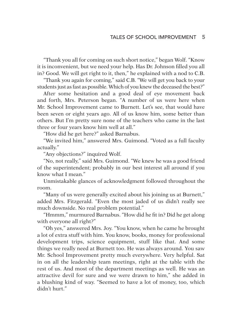"Thank you all for coming on such short notice," began Wolf. "Know it is inconvenient, but we need your help. Has Dr. Johnson filled you all in? Good. We will get right to it, then," he explained with a nod to C.B.

"Thank you again for coming," said C.B. "We will get you back to your students just as fast as possible. Which of you knew the deceased the best?"

After some hesitation and a good deal of eye movement back and forth, Mrs. Peterson began. "A number of us were here when Mr. School Improvement came to Burnett. Let's see, that would have been seven or eight years ago. All of us know him, some better than others. But I'm pretty sure none of the teachers who came in the last three or four years know him well at all."

"How did he get here?" asked Barnabus.

"We invited him," answered Mrs. Guimond." Voted as a full faculty actually."

"Any objections?" inquired Wolf.

"No, not really," said Mrs. Guimond. "We knew he was a good friend of the superintendent; probably in our best interest all around if you know what I mean."

Unmistakable glances of acknowledgment followed throughout the room.

"Many of us were generally excited about his joining us at Burnett," added Mrs. Fitzgerald. "Even the most jaded of us didn't really see much downside. No real problem potential."

"Hmmm," murmured Barnabus. "How did he fit in? Did he get along with everyone all right?"

"Oh yes," answered Mrs. Joy. "You know, when he came he brought a lot of extra stuff with him. You know, books, money for professional development trips, science equipment, stuff like that. And some things we really need at Burnett too. He was always around. You saw Mr. School Improvement pretty much everywhere. Very helpful. Sat in on all the leadership team meetings, right at the table with the rest of us. And most of the department meetings as well. He was an attractive devil for sure and we were drawn to him," she added in a blushing kind of way. "Seemed to have a lot of money, too, which didn't hurt."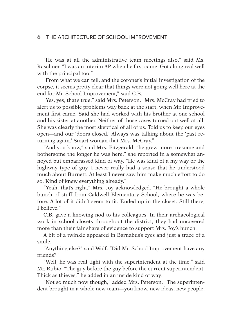"He was at all the administrative team meetings also," said Ms. Raschner. "I was an interim AP when he first came. Got along real well with the principal too."

"From what we can tell, and the coroner's initial investigation of the corpse, it seems pretty clear that things were not going well here at the end for Mr. School Improvement," said C.B.

"Yes, yes, that's true," said Mrs. Peterson. "Mrs. McCray had tried to alert us to possible problems way back at the start, when Mr. Improvement first came. Said she had worked with his brother at one school and his sister at another. Neither of those cases turned out well at all. She was clearly the most skeptical of all of us. Told us to keep our eyes open—and our 'doors closed.' Always was talking about the 'past returning again.' Smart woman that Mrs. McCray."

"And you know," said Mrs. Fitzgerald, "he grew more tiresome and bothersome the longer he was here," she reported in a somewhat annoyed but embarrassed kind of way. "He was kind of a my way or the highway type of guy. I never really had a sense that he understood much about Burnett. At least I never saw him make much effort to do so. Kind of knew everything already."

"Yeah, that's right," Mrs. Joy acknowledged. "He brought a whole bunch of stuff from Caldwell Elementary School, where he was before. A lot of it didn't seem to fit. Ended up in the closet. Still there, I believe."

C.B. gave a knowing nod to his colleagues. In their archaeological work in school closets throughout the district, they had uncovered more than their fair share of evidence to support Mrs. Joy's hunch.

A bit of a twinkle appeared in Barnabus's eyes and just a trace of a smile.

"Anything else?" said Wolf. "Did Mr. School Improvement have any friends?"

"Well, he was real tight with the superintendent at the time," said Mr. Rubio. "The guy before the guy before the current superintendent. Thick as thieves," he added in an inside kind of way.

"Not so much now though," added Mrs. Peterson. "The superintendent brought in a whole new team—you know, new ideas, new people,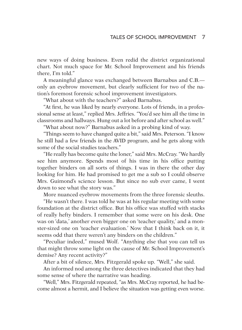new ways of doing business. Even redid the district organizational chart. Not much space for Mr. School Improvement and his friends there, I'm told."

A meaningful glance was exchanged between Barnabus and C.B. only an eyebrow movement, but clearly sufficient for two of the nation's foremost forensic school improvement investigators.

"What about with the teachers?" asked Barnabus.

"At first, he was liked by nearly everyone. Lots of friends, in a professional sense at least," replied Mrs. Jeffries. "You'd see him all the time in classrooms and hallways. Hung out a lot before and after school as well."

"What about now?" Barnabus asked in a probing kind of way.

"Things seem to have changed quite a bit," said Mrs. Peterson. "I know he still had a few friends in the AVID program, and he gets along with some of the social studies teachers."

"He really has become quite the loner," said Mrs. McCray. "We hardly see him anymore. Spends most of his time in his office putting together binders on all sorts of things. I was in there the other day looking for him. He had promised to get me a sub so I could observe Mrs. Guimond's science lesson. But since no sub ever came, I went down to see what the story was."

More nuanced eyebrow movements from the three forensic sleuths.

"He wasn't there. I was told he was at his regular meeting with some foundation at the district office. But his office was stuffed with stacks of really hefty binders. I remember that some were on his desk. One was on 'data,' another even bigger one on 'teacher quality,' and a monster-sized one on 'teacher evaluation.' Now that I think back on it, it seems odd that there weren't any binders on the children."

"Peculiar indeed," mused Wolf. "Anything else that you can tell us that might throw some light on the cause of Mr. School Improvement's demise? Any recent activity?"

After a bit of silence, Mrs. Fitzgerald spoke up. "Well," she said.

An informed nod among the three detectives indicated that they had some sense of where the narrative was heading.

"Well," Mrs. Fitzgerald repeated, "as Mrs. McCray reported, he had become almost a hermit, and I believe the situation was getting even worse.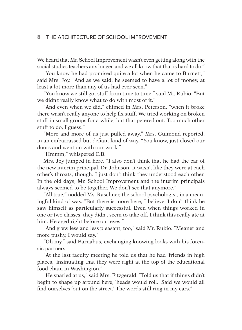We heard that Mr. School Improvement wasn't even getting along with the social studies teachers any longer, and we all know that that is hard to do."

"You know he had promised quite a lot when he came to Burnett," said Mrs. Joy. "And as we said, he seemed to have a lot of money, at least a lot more than any of us had ever seen."

"You know we still got stuff from time to time," said Mr. Rubio. "But we didn't really know what to do with most of it."

"And even when we did," chimed in Mrs. Peterson, "when it broke there wasn't really anyone to help fix stuff. We tried working on broken stuff in small groups for a while, but that petered out. Too much other stuff to do, I guess."

"More and more of us just pulled away," Mrs. Guimond reported, in an embarrassed but defiant kind of way. "You know, just closed our doors and went on with our work."

"Hmmm," whispered C.B.

Mrs. Joy jumped in here. "I also don't think that he had the ear of the new interim principal, Dr. Johnson. It wasn't like they were at each other's throats, though. I just don't think they understood each other. In the old days, Mr. School Improvement and the interim principals always seemed to be together. We don't see that anymore."

"All true," nodded Ms. Raschner, the school psychologist, in a meaningful kind of way. "But there is more here, I believe. I don't think he saw himself as particularly successful. Even when things worked in one or two classes, they didn't seem to take off. I think this really ate at him. He aged right before our eyes."

"And grew less and less pleasant, too," said Mr. Rubio. "Meaner and more pushy, I would say."

"Oh my," said Barnabus, exchanging knowing looks with his forensic partners.

"At the last faculty meeting he told us that he had 'friends in high places,' insinuating that they were right at the top of the educational food chain in Washington."

"He snarled at us," said Mrs. Fitzgerald. "Told us that if things didn't begin to shape up around here, 'heads would roll.' Said we would all find ourselves 'out on the street.' The words still ring in my ears."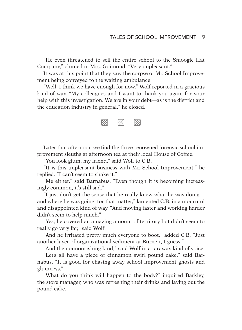"He even threatened to sell the entire school to the Smoogle Hat Company," chimed in Mrs. Guimond. "Very unpleasant."

It was at this point that they saw the corpse of Mr. School Improvement being conveyed to the waiting ambulance.

"Well, I think we have enough for now," Wolf reported in a gracious kind of way. "My colleagues and I want to thank you again for your help with this investigation. We are in your debt—as is the district and the education industry in general," he closed.



Later that afternoon we find the three renowned forensic school improvement sleuths at afternoon tea at their local House of Coffee.

"You look glum, my friend," said Wolf to C.B.

"It is this unpleasant business with Mr. School Improvement," he replied. "I can't seem to shake it."

"Me either," said Barnabus. "Even though it is becoming increasingly common, it's still sad."

"I just don't get the sense that he really knew what he was doing and where he was going, for that matter," lamented C.B. in a mournful and disappointed kind of way. "And moving faster and working harder didn't seem to help much."

"Yes, he covered an amazing amount of territory but didn't seem to really go very far," said Wolf.

"And he irritated pretty much everyone to boot," added C.B. "Just another layer of organizational sediment at Burnett, I guess."

"And the nonnourishing kind," said Wolf in a faraway kind of voice.

"Let's all have a piece of cinnamon swirl pound cake," said Barnabus. "It is good for chasing away school improvement ghosts and glumness."

"What do you think will happen to the body?" inquired Barkley, the store manager, who was refreshing their drinks and laying out the pound cake.